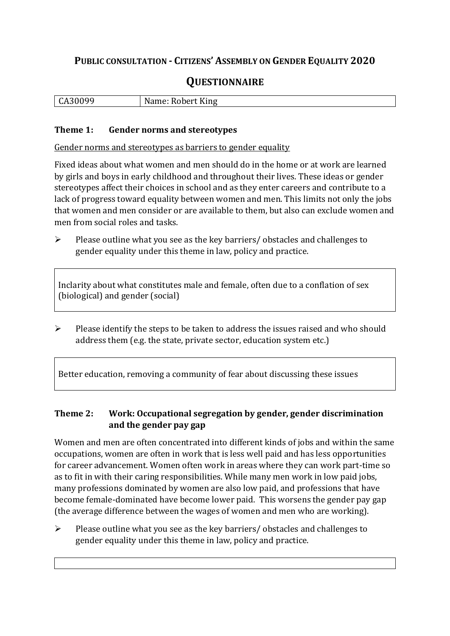# **PUBLIC CONSULTATION - CITIZENS' ASSEMBLY ON GENDER EQUALITY 2020**

# **QUESTIONNAIRE**

| $\mathbf{r}$<br>יי<br>. .<br>n |  | ◡ | $- -$<br>King<br>лıе |
|--------------------------------|--|---|----------------------|
|--------------------------------|--|---|----------------------|

#### **Theme 1: Gender norms and stereotypes**

Gender norms and stereotypes as barriers to gender equality

Fixed ideas about what women and men should do in the home or at work are learned by girls and boys in early childhood and throughout their lives. These ideas or gender stereotypes affect their choices in school and as they enter careers and contribute to a lack of progress toward equality between women and men. This limits not only the jobs that women and men consider or are available to them, but also can exclude women and men from social roles and tasks.

➢ Please outline what you see as the key barriers/ obstacles and challenges to gender equality under this theme in law, policy and practice.

Inclarity about what constitutes male and female, often due to a conflation of sex (biological) and gender (social)

 $\triangleright$  Please identify the steps to be taken to address the issues raised and who should address them (e.g. the state, private sector, education system etc.)

Better education, removing a community of fear about discussing these issues

# **Theme 2: Work: Occupational segregation by gender, gender discrimination and the gender pay gap**

Women and men are often concentrated into different kinds of jobs and within the same occupations, women are often in work that is less well paid and has less opportunities for career advancement. Women often work in areas where they can work part-time so as to fit in with their caring responsibilities. While many men work in low paid jobs, many professions dominated by women are also low paid, and professions that have become female-dominated have become lower paid. This worsens the gender pay gap (the average difference between the wages of women and men who are working).

➢ Please outline what you see as the key barriers/ obstacles and challenges to gender equality under this theme in law, policy and practice.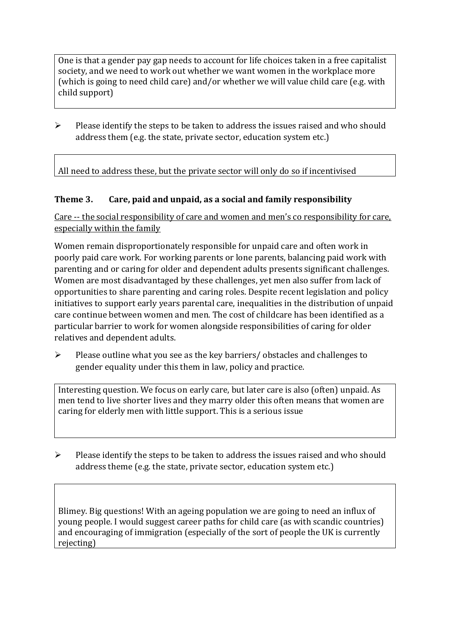One is that a gender pay gap needs to account for life choices taken in a free capitalist society, and we need to work out whether we want women in the workplace more (which is going to need child care) and/or whether we will value child care (e.g. with child support)

➢ Please identify the steps to be taken to address the issues raised and who should address them (e.g. the state, private sector, education system etc.)

All need to address these, but the private sector will only do so if incentivised

#### **Theme 3. Care, paid and unpaid, as a social and family responsibility**

Care -- the social responsibility of care and women and men's co responsibility for care, especially within the family

Women remain disproportionately responsible for unpaid care and often work in poorly paid care work. For working parents or [lone parents,](https://aran.library.nuigalway.ie/bitstream/handle/10379/6044/Millar_and_Crosse_Activation_Report.pdf?sequence=1&isAllowed=y) balancing paid work with parenting and or caring for older and dependent adults presents significant challenges. Women are [most disadvantaged by these challenges,](https://eige.europa.eu/gender-equality-index/game/IE/W) yet men also suffer from lack of opportunities to share parenting and caring roles. Despite recent legislation and policy initiatives to support early years parental care, [inequalities in the distribution of unpaid](https://www.ihrec.ie/app/uploads/2019/07/Caring-and-Unpaid-Work-in-Ireland_Final.pdf)  [care](https://www.ihrec.ie/app/uploads/2019/07/Caring-and-Unpaid-Work-in-Ireland_Final.pdf) continue between women and men. The cost of childcare has been identified as a particular barrier to work for women alongside responsibilities of caring for older relatives and dependent adults.

➢ Please outline what you see as the key barriers/ obstacles and challenges to gender equality under this them in law, policy and practice.

Interesting question. We focus on early care, but later care is also (often) unpaid. As men tend to live shorter lives and they marry older this often means that women are caring for elderly men with little support. This is a serious issue

 $\triangleright$  Please identify the steps to be taken to address the issues raised and who should address theme (e.g. the state, private sector, education system etc.)

Blimey. Big questions! With an ageing population we are going to need an influx of young people. I would suggest career paths for child care (as with scandic countries) and encouraging of immigration (especially of the sort of people the UK is currently rejecting)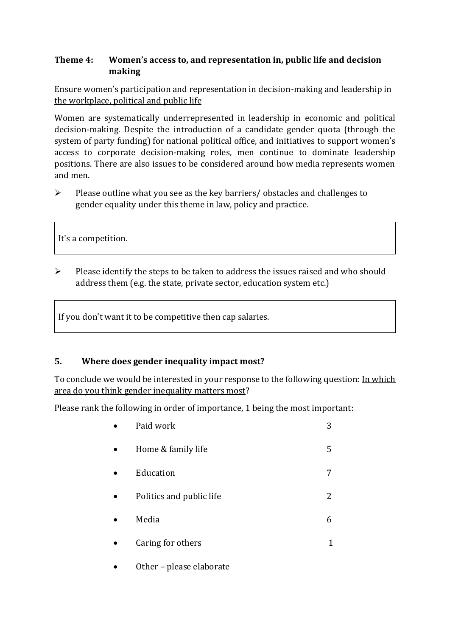## **Theme 4: Women's access to, and representation in, public life and decision making**

Ensure women's participation and representation in decision-making and leadership in the workplace, political and public life

Women are systematically underrepresented in leadership in [economic](https://eige.europa.eu/gender-equality-index/2019/compare-countries/power/2/bar) and [political](https://eige.europa.eu/gender-equality-index/2019/compare-countries/power/1/bar)  [decision-](https://eige.europa.eu/gender-equality-index/2019/compare-countries/power/1/bar)making. Despite the introduction of a candidate gender quota (through the system of party funding) for national political office, and [initiatives](https://betterbalance.ie/) to support women's access to corporate decision-making roles, men continue to dominate leadership positions. There are also issues to be considered around how media represents women and men.

➢ Please outline what you see as the key barriers/ obstacles and challenges to gender equality under this theme in law, policy and practice.

It's a competition.

➢ Please identify the steps to be taken to address the issues raised and who should address them (e.g. the state, private sector, education system etc.)

If you don't want it to be competitive then cap salaries.

#### **5. Where does gender inequality impact most?**

To conclude we would be interested in your response to the following question: In which area do you think gender inequality matters most?

Please rank the following in order of importance, 1 being the most important:

| Paid work                | 3 |
|--------------------------|---|
| Home & family life       | 5 |
| Education                |   |
| Politics and public life | 2 |
| Media                    | 6 |
| Caring for others        |   |
|                          |   |

Other - please elaborate